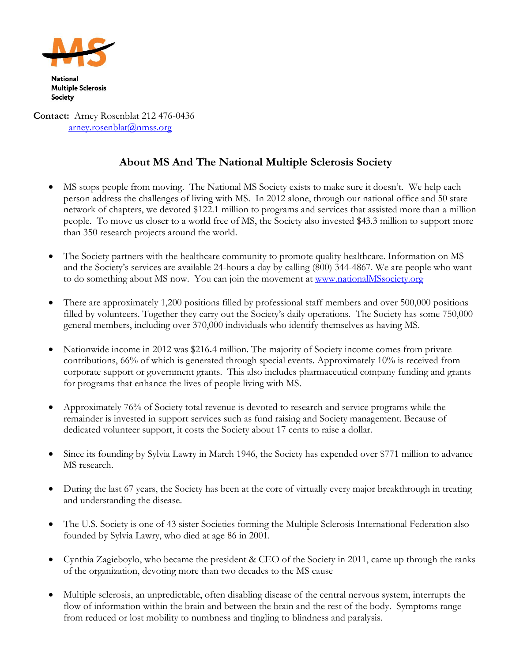

**Contact:** Arney Rosenblat 212 476-0436 [arney.rosenblat@nmss.org](mailto:arney.rosenblat@nmss.org)

## **About MS And The National Multiple Sclerosis Society**

- MS stops people from moving. The National MS Society exists to make sure it doesn't. We help each person address the challenges of living with MS. In 2012 alone, through our national office and 50 state network of chapters, we devoted \$122.1 million to programs and services that assisted more than a million people. To move us closer to a world free of MS, the Society also invested \$43.3 million to support more than 350 research projects around the world.
- The Society partners with the healthcare community to promote quality healthcare. Information on MS and the Society's services are available 24-hours a day by calling (800) 344-4867. We are people who want to do something about MS now. You can join the movement at [www.nationalMSsociety.org](http://www.nationalmssociety.org/)
- There are approximately 1,200 positions filled by professional staff members and over 500,000 positions filled by volunteers. Together they carry out the Society's daily operations. The Society has some 750,000 general members, including over 370,000 individuals who identify themselves as having MS.
- Nationwide income in 2012 was \$216**.**4 million. The majority of Society income comes from private contributions, 66% of which is generated through special events. Approximately 10% is received from corporate support or government grants. This also includes pharmaceutical company funding and grants for programs that enhance the lives of people living with MS.
- Approximately 76% of Society total revenue is devoted to research and service programs while the remainder is invested in support services such as fund raising and Society management. Because of dedicated volunteer support, it costs the Society about 17 cents to raise a dollar.
- Since its founding by Sylvia Lawry in March 1946, the Society has expended over \$771 million to advance MS research.
- During the last 67 years, the Society has been at the core of virtually every major breakthrough in treating and understanding the disease.
- The U.S. Society is one of 43 sister Societies forming the Multiple Sclerosis International Federation also founded by Sylvia Lawry, who died at age 86 in 2001.
- Cynthia Zagieboylo, who became the president & CEO of the Society in 2011, came up through the ranks of the organization, devoting more than two decades to the MS cause
- Multiple sclerosis, an unpredictable, often disabling disease of the central nervous system, interrupts the flow of information within the brain and between the brain and the rest of the body. Symptoms range from reduced or lost mobility to numbness and tingling to blindness and paralysis.